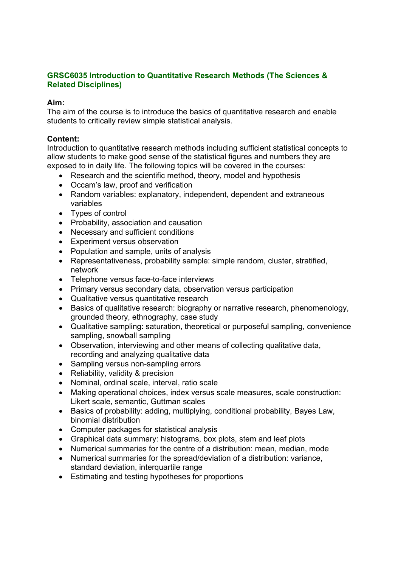# **GRSC6035 Introduction to Quantitative Research Methods (The Sciences & Related Disciplines)**

### **Aim:**

The aim of the course is to introduce the basics of quantitative research and enable students to critically review simple statistical analysis.

## **Content:**

Introduction to quantitative research methods including sufficient statistical concepts to allow students to make good sense of the statistical figures and numbers they are exposed to in daily life. The following topics will be covered in the courses:

- Research and the scientific method, theory, model and hypothesis
- Occam's law, proof and verification
- Random variables: explanatory, independent, dependent and extraneous variables
- Types of control
- Probability, association and causation
- Necessary and sufficient conditions
- Experiment versus observation
- Population and sample, units of analysis
- Representativeness, probability sample: simple random, cluster, stratified, network
- Telephone versus face-to-face interviews
- Primary versus secondary data, observation versus participation
- Qualitative versus quantitative research
- Basics of qualitative research: biography or narrative research, phenomenology, grounded theory, ethnography, case study
- Qualitative sampling: saturation, theoretical or purposeful sampling, convenience sampling, snowball sampling
- Observation, interviewing and other means of collecting qualitative data, recording and analyzing qualitative data
- Sampling versus non-sampling errors
- Reliability, validity & precision
- Nominal, ordinal scale, interval, ratio scale
- Making operational choices, index versus scale measures, scale construction: Likert scale, semantic, Guttman scales
- Basics of probability: adding, multiplying, conditional probability, Bayes Law, binomial distribution
- Computer packages for statistical analysis
- Graphical data summary: histograms, box plots, stem and leaf plots
- Numerical summaries for the centre of a distribution: mean, median, mode
- Numerical summaries for the spread/deviation of a distribution: variance, standard deviation, interquartile range
- Estimating and testing hypotheses for proportions